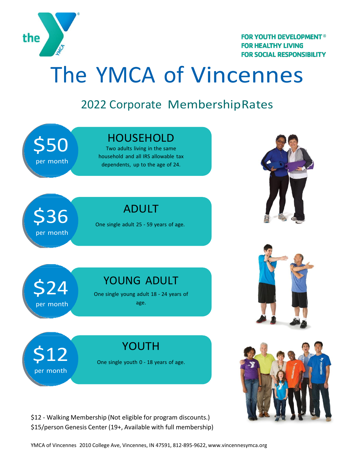

**FOR YOUTH DEVELOPMENT<sup>®</sup> FOR HEALTHY LIVING FOR SOCIAL RESPONSIBILITY** 

## The YMCA of Vincennes

#### 2022 Corporate MembershipRates



\$12 - Walking Membership (Not eligible for program discounts.) \$15/person Genesis Center (19+, Available with full membership)